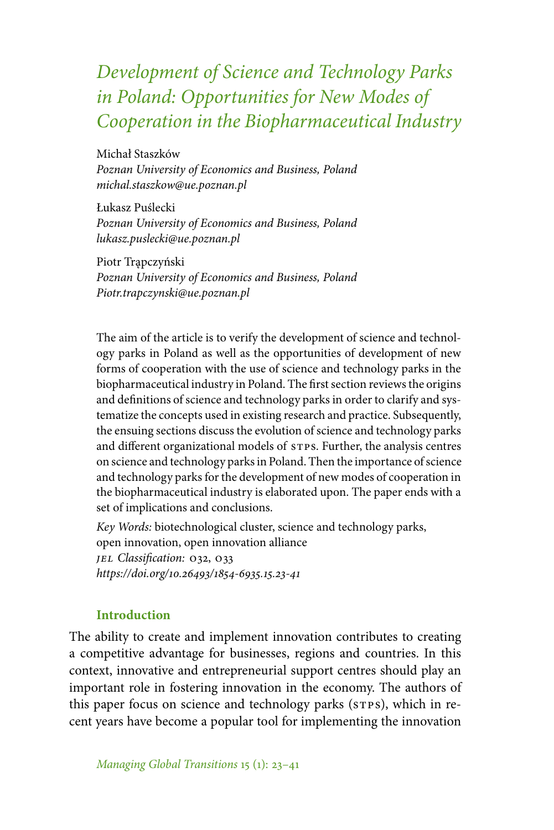# *Development of Science and Technology Parks in Poland: Opportunities for New Modes of Cooperation in the Biopharmaceutical Industry*

Michał Staszków *Poznan University of Economics and Business, Poland michal.staszkow@ue.poznan.pl*

Łukasz Puślecki *Poznan University of Economics and Business, Poland lukasz.puslecki@ue.poznan.pl*

Piotr Trapczyński *Poznan University of Economics and Business, Poland Piotr.trapczynski@ue.poznan.pl*

The aim of the article is to verify the development of science and technology parks in Poland as well as the opportunities of development of new forms of cooperation with the use of science and technology parks in the biopharmaceutical industry in Poland. The first section reviews the origins and definitions of science and technology parks in order to clarify and systematize the concepts used in existing research and practice. Subsequently, the ensuing sections discuss the evolution of science and technology parks and different organizational models of STPS. Further, the analysis centres on science and technology parks in Poland. Then the importance of science and technology parks for the development of new modes of cooperation in the biopharmaceutical industry is elaborated upon. The paper ends with a set of implications and conclusions.

*Key Words:* biotechnological cluster, science and technology parks, open innovation, open innovation alliance *jel Classification:* o32, o33 *https://doi.org/10.26493/1854-6935.15.23-41*

#### **Introduction**

The ability to create and implement innovation contributes to creating a competitive advantage for businesses, regions and countries. In this context, innovative and entrepreneurial support centres should play an important role in fostering innovation in the economy. The authors of this paper focus on science and technology parks (STPS), which in recent years have become a popular tool for implementing the innovation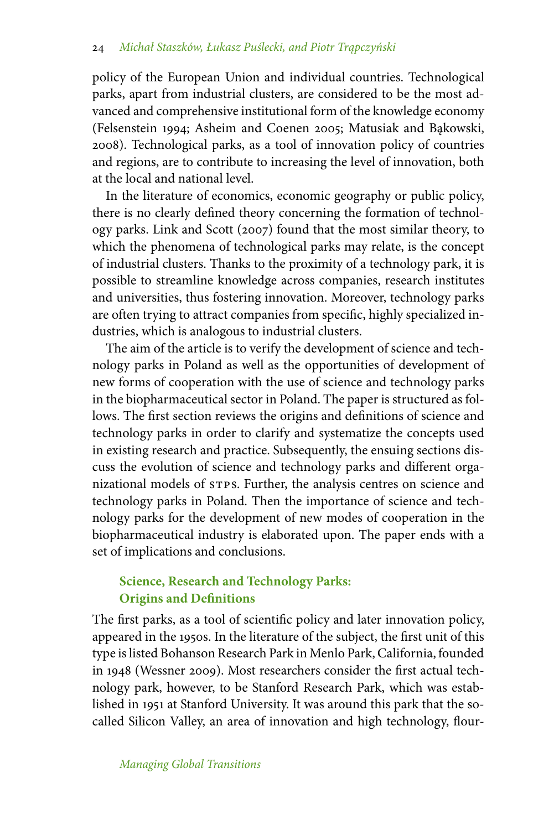policy of the European Union and individual countries. Technological parks, apart from industrial clusters, are considered to be the most advanced and comprehensive institutional form of the knowledge economy (Felsenstein 1994; Asheim and Coenen 2005; Matusiak and Bakowski, 2008). Technological parks, as a tool of innovation policy of countries and regions, are to contribute to increasing the level of innovation, both at the local and national level.

In the literature of economics, economic geography or public policy, there is no clearly defined theory concerning the formation of technology parks. Link and Scott (2007) found that the most similar theory, to which the phenomena of technological parks may relate, is the concept of industrial clusters. Thanks to the proximity of a technology park, it is possible to streamline knowledge across companies, research institutes and universities, thus fostering innovation. Moreover, technology parks are often trying to attract companies from specific, highly specialized industries, which is analogous to industrial clusters.

The aim of the article is to verify the development of science and technology parks in Poland as well as the opportunities of development of new forms of cooperation with the use of science and technology parks in the biopharmaceutical sector in Poland. The paper is structured as follows. The first section reviews the origins and definitions of science and technology parks in order to clarify and systematize the concepts used in existing research and practice. Subsequently, the ensuing sections discuss the evolution of science and technology parks and different organizational models of stps. Further, the analysis centres on science and technology parks in Poland. Then the importance of science and technology parks for the development of new modes of cooperation in the biopharmaceutical industry is elaborated upon. The paper ends with a set of implications and conclusions.

## **Science, Research and Technology Parks: Origins and Definitions**

The first parks, as a tool of scientific policy and later innovation policy, appeared in the 1950s. In the literature of the subject, the first unit of this type is listed Bohanson Research Park in Menlo Park, California, founded in 1948 (Wessner 2009). Most researchers consider the first actual technology park, however, to be Stanford Research Park, which was established in 1951 at Stanford University. It was around this park that the socalled Silicon Valley, an area of innovation and high technology, flour-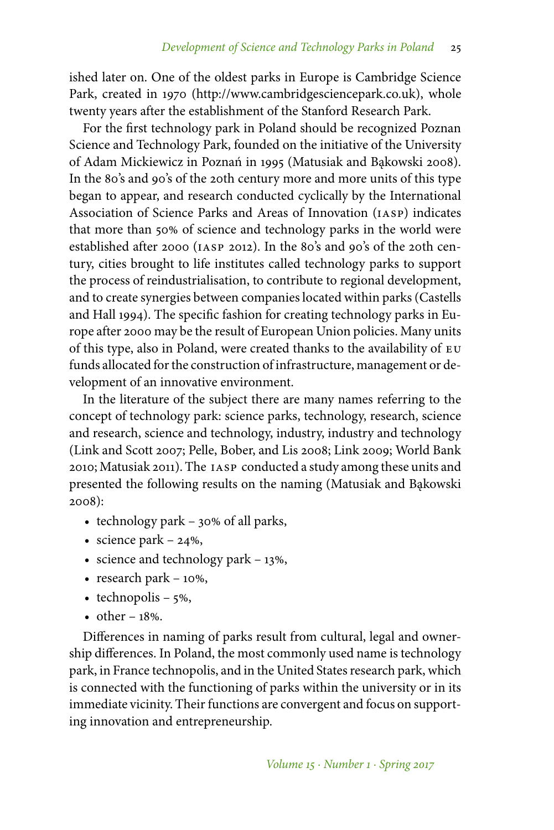ished later on. One of the oldest parks in Europe is Cambridge Science Park, created in 1970 (http://www.cambridgesciencepark.co.uk), whole twenty years after the establishment of the Stanford Research Park.

For the first technology park in Poland should be recognized Poznan Science and Technology Park, founded on the initiative of the University of Adam Mickiewicz in Poznań in 1995 (Matusiak and Bąkowski 2008). In the 80's and 90's of the 20th century more and more units of this type began to appear, and research conducted cyclically by the International Association of Science Parks and Areas of Innovation (iasp) indicates that more than 50% of science and technology parks in the world were established after 2000 (iasp 2012). In the 80's and 90's of the 20th century, cities brought to life institutes called technology parks to support the process of reindustrialisation, to contribute to regional development, and to create synergies between companies located within parks (Castells and Hall 1994). The specific fashion for creating technology parks in Europe after 2000 may be the result of European Union policies. Many units of this type, also in Poland, were created thanks to the availability of eu funds allocated for the construction of infrastructure, management or development of an innovative environment.

In the literature of the subject there are many names referring to the concept of technology park: science parks, technology, research, science and research, science and technology, industry, industry and technology (Link and Scott 2007; Pelle, Bober, and Lis 2008; Link 2009; World Bank 2010; Matusiak 2011). The iasp conducted a study among these units and presented the following results on the naming (Matusiak and Bąkowski 2008):

- technology park 30% of all parks,
- science park  $24\%$ ,
- science and technology park  $-13%$ ,
- research park  $-10\%$ ,
- technopolis  $5\%$ ,
- other  $-18%$ .

Differences in naming of parks result from cultural, legal and ownership differences. In Poland, the most commonly used name is technology park, in France technopolis, and in the United States research park, which is connected with the functioning of parks within the university or in its immediate vicinity. Their functions are convergent and focus on supporting innovation and entrepreneurship.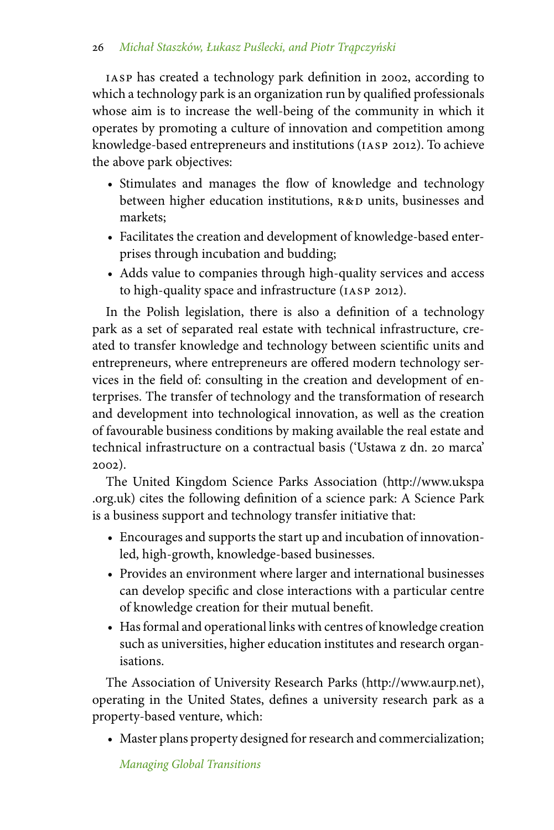iasp has created a technology park definition in 2002, according to which a technology park is an organization run by qualified professionals whose aim is to increase the well-being of the community in which it operates by promoting a culture of innovation and competition among knowledge-based entrepreneurs and institutions (iasp 2012). To achieve the above park objectives:

- Stimulates and manages the flow of knowledge and technology between higher education institutions,  $R&D$  units, businesses and markets;
- Facilitates the creation and development of knowledge-based enterprises through incubation and budding;
- Adds value to companies through high-quality services and access to high-quality space and infrastructure (iasp 2012).

In the Polish legislation, there is also a definition of a technology park as a set of separated real estate with technical infrastructure, created to transfer knowledge and technology between scientific units and entrepreneurs, where entrepreneurs are offered modern technology services in the field of: consulting in the creation and development of enterprises. The transfer of technology and the transformation of research and development into technological innovation, as well as the creation of favourable business conditions by making available the real estate and technical infrastructure on a contractual basis ('Ustawa z dn. 20 marca' 2002).

The United Kingdom Science Parks Association (http://www.ukspa .org.uk) cites the following definition of a science park: A Science Park is a business support and technology transfer initiative that:

- Encourages and supports the start up and incubation of innovationled, high-growth, knowledge-based businesses.
- Provides an environment where larger and international businesses can develop specific and close interactions with a particular centre of knowledge creation for their mutual benefit.
- Has formal and operational links with centres of knowledge creation such as universities, higher education institutes and research organisations.

The Association of University Research Parks (http://www.aurp.net), operating in the United States, defines a university research park as a property-based venture, which:

• Master plans property designed for research and commercialization;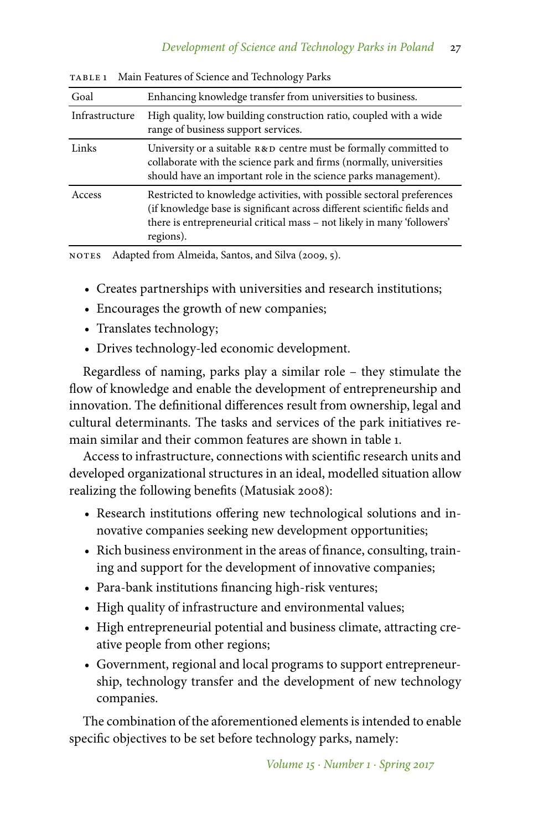| Goal           | Enhancing knowledge transfer from universities to business.                                                                                                                                                                                |
|----------------|--------------------------------------------------------------------------------------------------------------------------------------------------------------------------------------------------------------------------------------------|
| Infrastructure | High quality, low building construction ratio, coupled with a wide<br>range of business support services.                                                                                                                                  |
| Links          | University or a suitable $R&D$ centre must be formally committed to<br>collaborate with the science park and firms (normally, universities<br>should have an important role in the science parks management).                              |
| Access         | Restricted to knowledge activities, with possible sectoral preferences<br>(if knowledge base is significant across different scientific fields and<br>there is entrepreneurial critical mass – not likely in many 'followers'<br>regions). |
|                |                                                                                                                                                                                                                                            |

table 1 Main Features of Science and Technology Parks

NOTES Adapted from Almeida, Santos, and Silva (2009, 5).

- Creates partnerships with universities and research institutions;
- Encourages the growth of new companies;
- Translates technology;
- Drives technology-led economic development.

Regardless of naming, parks play a similar role – they stimulate the flow of knowledge and enable the development of entrepreneurship and innovation. The definitional differences result from ownership, legal and cultural determinants. The tasks and services of the park initiatives remain similar and their common features are shown in table 1.

Access to infrastructure, connections with scientific research units and developed organizational structures in an ideal, modelled situation allow realizing the following benefits (Matusiak 2008):

- Research institutions offering new technological solutions and innovative companies seeking new development opportunities;
- Rich business environment in the areas of finance, consulting, training and support for the development of innovative companies;
- Para-bank institutions financing high-risk ventures;
- High quality of infrastructure and environmental values;
- High entrepreneurial potential and business climate, attracting creative people from other regions;
- Government, regional and local programs to support entrepreneurship, technology transfer and the development of new technology companies.

The combination of the aforementioned elements is intended to enable specific objectives to be set before technology parks, namely: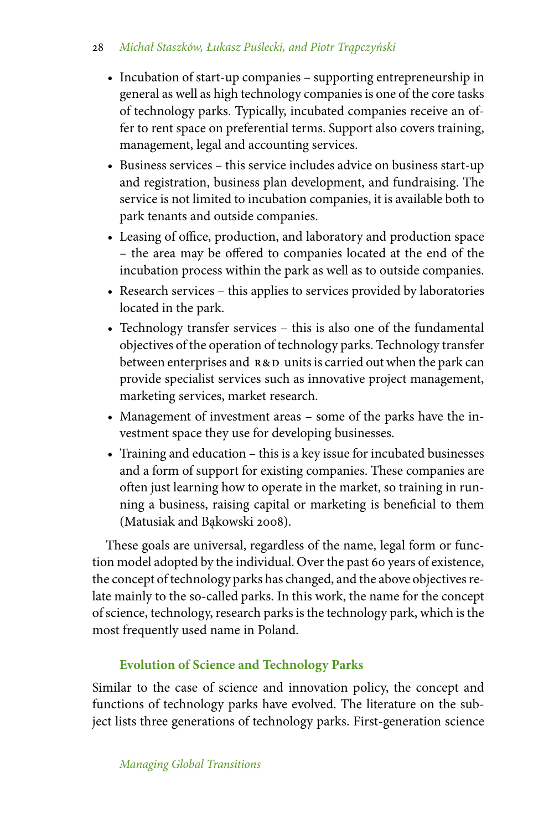## 28 Michał Staszków, Łukasz Puślecki, and Piotr Trąpczyński

- Incubation of start-up companies supporting entrepreneurship in general as well as high technology companies is one of the core tasks of technology parks. Typically, incubated companies receive an offer to rent space on preferential terms. Support also covers training, management, legal and accounting services.
- Business services this service includes advice on business start-up and registration, business plan development, and fundraising. The service is not limited to incubation companies, it is available both to park tenants and outside companies.
- Leasing of office, production, and laboratory and production space – the area may be offered to companies located at the end of the incubation process within the park as well as to outside companies.
- Research services this applies to services provided by laboratories located in the park.
- Technology transfer services this is also one of the fundamental objectives of the operation of technology parks. Technology transfer between enterprises and  $R&D$  units is carried out when the park can provide specialist services such as innovative project management, marketing services, market research.
- Management of investment areas some of the parks have the investment space they use for developing businesses.
- Training and education this is a key issue for incubated businesses and a form of support for existing companies. These companies are often just learning how to operate in the market, so training in running a business, raising capital or marketing is beneficial to them (Matusiak and Bakowski 2008).

These goals are universal, regardless of the name, legal form or function model adopted by the individual. Over the past 60 years of existence, the concept of technology parks has changed, and the above objectives relate mainly to the so-called parks. In this work, the name for the concept of science, technology, research parks is the technology park, which is the most frequently used name in Poland.

## **Evolution of Science and Technology Parks**

Similar to the case of science and innovation policy, the concept and functions of technology parks have evolved. The literature on the subject lists three generations of technology parks. First-generation science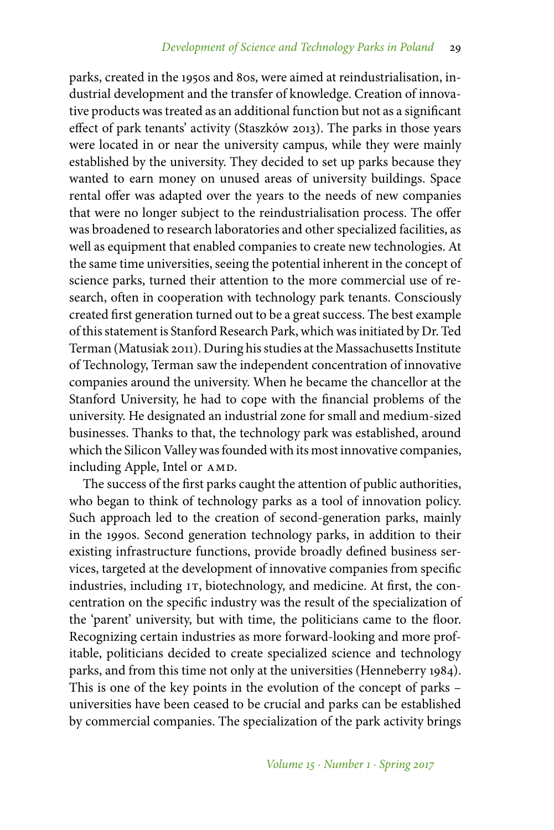parks, created in the 1950s and 80s, were aimed at reindustrialisation, industrial development and the transfer of knowledge. Creation of innovative products was treated as an additional function but not as a significant effect of park tenants' activity (Staszków 2013). The parks in those years were located in or near the university campus, while they were mainly established by the university. They decided to set up parks because they wanted to earn money on unused areas of university buildings. Space rental offer was adapted over the years to the needs of new companies that were no longer subject to the reindustrialisation process. The offer was broadened to research laboratories and other specialized facilities, as well as equipment that enabled companies to create new technologies. At the same time universities, seeing the potential inherent in the concept of science parks, turned their attention to the more commercial use of research, often in cooperation with technology park tenants. Consciously created first generation turned out to be a great success. The best example of this statement is Stanford Research Park, which was initiated by Dr. Ted Terman (Matusiak 2011). During his studies at the Massachusetts Institute of Technology, Terman saw the independent concentration of innovative companies around the university. When he became the chancellor at the Stanford University, he had to cope with the financial problems of the university. He designated an industrial zone for small and medium-sized businesses. Thanks to that, the technology park was established, around which the Silicon Valley was founded with its most innovative companies, including Apple, Intel or AMD.

The success of the first parks caught the attention of public authorities, who began to think of technology parks as a tool of innovation policy. Such approach led to the creation of second-generation parks, mainly in the 1990s. Second generation technology parks, in addition to their existing infrastructure functions, provide broadly defined business services, targeted at the development of innovative companies from specific industries, including IT, biotechnology, and medicine. At first, the concentration on the specific industry was the result of the specialization of the 'parent' university, but with time, the politicians came to the floor. Recognizing certain industries as more forward-looking and more profitable, politicians decided to create specialized science and technology parks, and from this time not only at the universities (Henneberry 1984). This is one of the key points in the evolution of the concept of parks – universities have been ceased to be crucial and parks can be established by commercial companies. The specialization of the park activity brings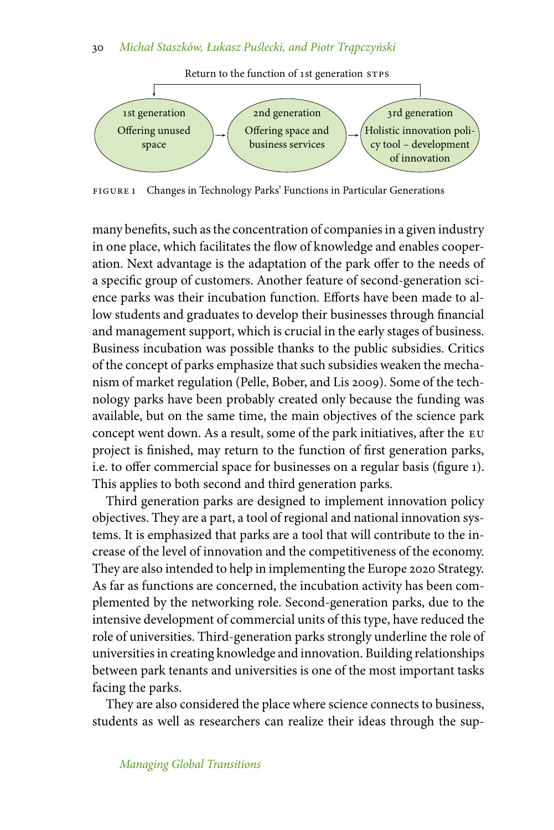#### 30 Michał Staszków, Łukasz Puślecki, and Piotr Trąpczyński



FIGURE 1 Changes in Technology Parks' Functions in Particular Generations

many benefits, such as the concentration of companies in a given industry in one place, which facilitates the flow of knowledge and enables cooperation. Next advantage is the adaptation of the park offer to the needs of a specific group of customers. Another feature of second-generation science parks was their incubation function. Efforts have been made to allow students and graduates to develop their businesses through financial and management support, which is crucial in the early stages of business. Business incubation was possible thanks to the public subsidies. Critics of the concept of parks emphasize that such subsidies weaken the mechanism of market regulation (Pelle, Bober, and Lis 2009). Some of the technology parks have been probably created only because the funding was available, but on the same time, the main objectives of the science park concept went down. As a result, some of the park initiatives, after the eu project is finished, may return to the function of first generation parks, i.e. to offer commercial space for businesses on a regular basis (figure 1). This applies to both second and third generation parks.

Third generation parks are designed to implement innovation policy objectives. They are a part, a tool of regional and national innovation systems. It is emphasized that parks are a tool that will contribute to the increase of the level of innovation and the competitiveness of the economy. They are also intended to help in implementing the Europe 2020 Strategy. As far as functions are concerned, the incubation activity has been complemented by the networking role. Second-generation parks, due to the intensive development of commercial units of this type, have reduced the role of universities. Third-generation parks strongly underline the role of universities in creating knowledge and innovation. Building relationships between park tenants and universities is one of the most important tasks facing the parks.

They are also considered the place where science connects to business, students as well as researchers can realize their ideas through the sup-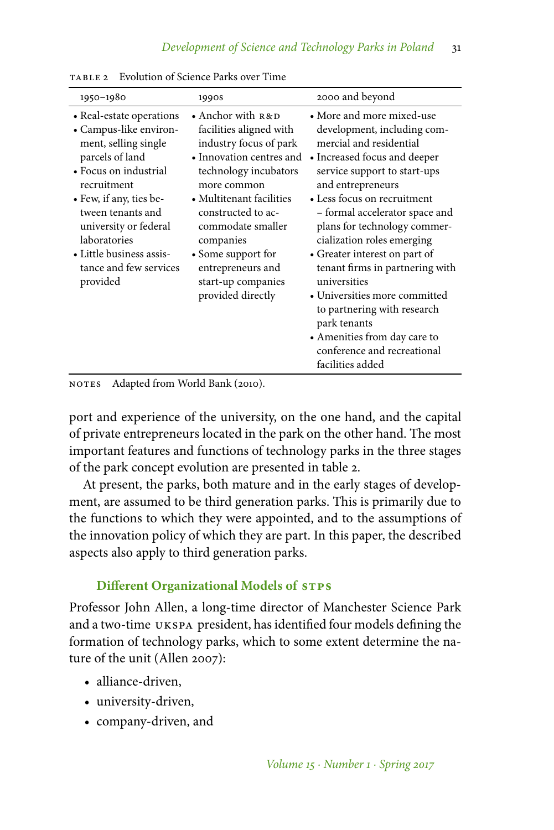| 1950-1980                                                                                                                                                                                                                                                                                        | 1990s                                                                                                                                                                                                                                                                                                                   | 2000 and beyond                                                                                                                                                                                                                                                                                                                                                                                                                                                                                             |
|--------------------------------------------------------------------------------------------------------------------------------------------------------------------------------------------------------------------------------------------------------------------------------------------------|-------------------------------------------------------------------------------------------------------------------------------------------------------------------------------------------------------------------------------------------------------------------------------------------------------------------------|-------------------------------------------------------------------------------------------------------------------------------------------------------------------------------------------------------------------------------------------------------------------------------------------------------------------------------------------------------------------------------------------------------------------------------------------------------------------------------------------------------------|
| • Real-estate operations<br>• Campus-like environ-<br>ment, selling single<br>parcels of land<br>• Focus on industrial<br>recruitment<br>• Few, if any, ties be-<br>tween tenants and<br>university or federal<br>laboratories<br>• Little business assis-<br>tance and few services<br>provided | • Anchor with $R\&D$<br>facilities aligned with<br>industry focus of park<br>• Innovation centres and<br>technology incubators<br>more common<br>• Multitenant facilities<br>constructed to ac-<br>commodate smaller<br>companies<br>• Some support for<br>entrepreneurs and<br>start-up companies<br>provided directly | • More and more mixed-use<br>development, including com-<br>mercial and residential<br>• Increased focus and deeper<br>service support to start-ups<br>and entrepreneurs<br>• Less focus on recruitment<br>- formal accelerator space and<br>plans for technology commer-<br>cialization roles emerging<br>• Greater interest on part of<br>tenant firms in partnering with<br>universities<br>• Universities more committed<br>to partnering with research<br>park tenants<br>• Amenities from day care to |
|                                                                                                                                                                                                                                                                                                  |                                                                                                                                                                                                                                                                                                                         | conference and recreational<br>facilities added                                                                                                                                                                                                                                                                                                                                                                                                                                                             |

table 2 Evolution of Science Parks over Time

NOTES Adapted from World Bank (2010).

port and experience of the university, on the one hand, and the capital of private entrepreneurs located in the park on the other hand. The most important features and functions of technology parks in the three stages of the park concept evolution are presented in table 2.

At present, the parks, both mature and in the early stages of development, are assumed to be third generation parks. This is primarily due to the functions to which they were appointed, and to the assumptions of the innovation policy of which they are part. In this paper, the described aspects also apply to third generation parks.

#### **Different Organizational Models of STPS**

Professor John Allen, a long-time director of Manchester Science Park and a two-time ukspa president, has identified four models defining the formation of technology parks, which to some extent determine the nature of the unit (Allen 2007):

- alliance-driven,
- university-driven,
- company-driven, and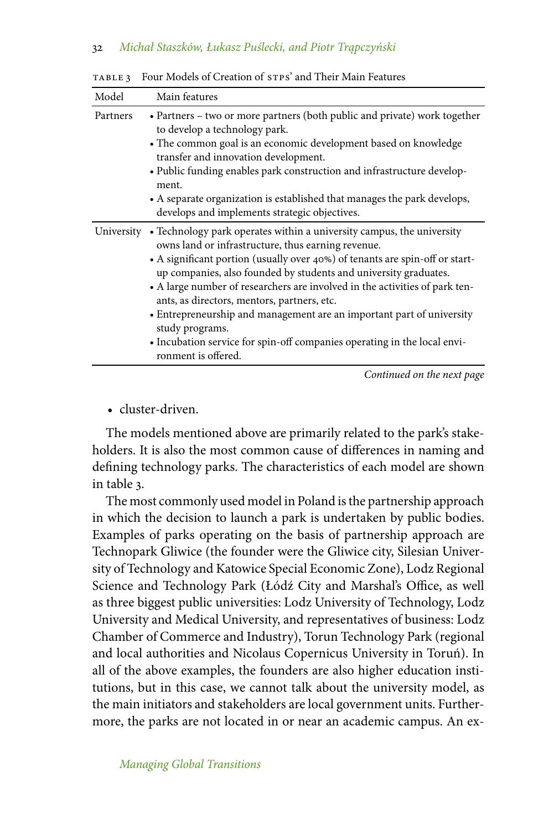| Model    | Main features                                                                                                                                                                                                                                                                                                                                                                                                                                                                                                                                                                                                           |
|----------|-------------------------------------------------------------------------------------------------------------------------------------------------------------------------------------------------------------------------------------------------------------------------------------------------------------------------------------------------------------------------------------------------------------------------------------------------------------------------------------------------------------------------------------------------------------------------------------------------------------------------|
| Partners | • Partners – two or more partners (both public and private) work together<br>to develop a technology park.<br>• The common goal is an economic development based on knowledge<br>transfer and innovation development.<br>• Public funding enables park construction and infrastructure develop-<br>ment.<br>• A separate organization is established that manages the park develops,<br>develops and implements strategic objectives.                                                                                                                                                                                   |
|          | University • Technology park operates within a university campus, the university<br>owns land or infrastructure, thus earning revenue.<br>• A significant portion (usually over 40%) of tenants are spin-off or start-<br>up companies, also founded by students and university graduates.<br>• A large number of researchers are involved in the activities of park ten-<br>ants, as directors, mentors, partners, etc.<br>• Entrepreneurship and management are an important part of university<br>study programs.<br>• Incubation service for spin-off companies operating in the local envi-<br>ronment is offered. |

table 3 Four Models of Creation of stps' and Their Main Features

*Continued on the next page*

• cluster-driven.

The models mentioned above are primarily related to the park's stakeholders. It is also the most common cause of differences in naming and defining technology parks. The characteristics of each model are shown in table 3.

The most commonly used model in Poland is the partnership approach in which the decision to launch a park is undertaken by public bodies. Examples of parks operating on the basis of partnership approach are Technopark Gliwice (the founder were the Gliwice city, Silesian University of Technology and Katowice Special Economic Zone), Lodz Regional Science and Technology Park (Łódź City and Marshal's Office, as well as three biggest public universities: Lodz University of Technology, Lodz University and Medical University, and representatives of business: Lodz Chamber of Commerce and Industry), Torun Technology Park (regional and local authorities and Nicolaus Copernicus University in Toruń). In all of the above examples, the founders are also higher education institutions, but in this case, we cannot talk about the university model, as the main initiators and stakeholders are local government units. Furthermore, the parks are not located in or near an academic campus. An ex-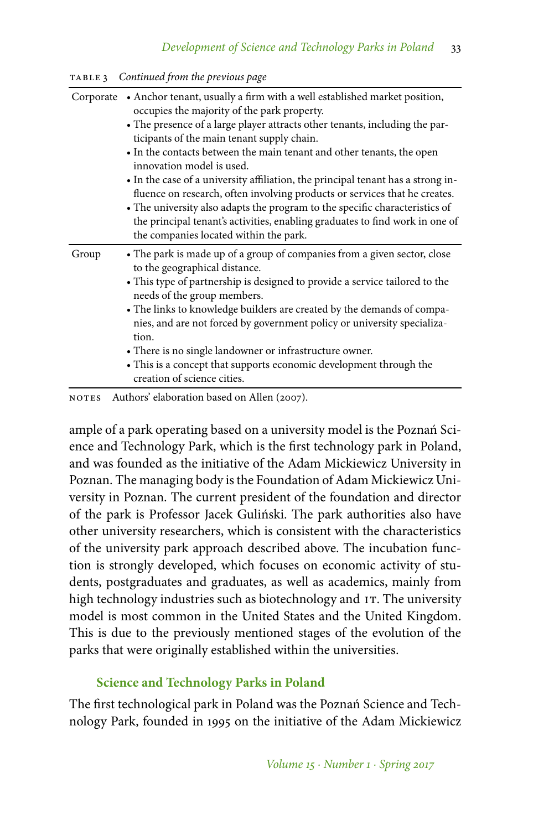| TABLE <sub>3</sub> | Continued from the previous page |  |  |
|--------------------|----------------------------------|--|--|
|--------------------|----------------------------------|--|--|

| Corporate | • Anchor tenant, usually a firm with a well established market position,<br>occupies the majority of the park property.<br>• The presence of a large player attracts other tenants, including the par-<br>ticipants of the main tenant supply chain.<br>• In the contacts between the main tenant and other tenants, the open<br>innovation model is used.<br>• In the case of a university affiliation, the principal tenant has a strong in-<br>fluence on research, often involving products or services that he creates.<br>• The university also adapts the program to the specific characteristics of<br>the principal tenant's activities, enabling graduates to find work in one of<br>the companies located within the park. |
|-----------|---------------------------------------------------------------------------------------------------------------------------------------------------------------------------------------------------------------------------------------------------------------------------------------------------------------------------------------------------------------------------------------------------------------------------------------------------------------------------------------------------------------------------------------------------------------------------------------------------------------------------------------------------------------------------------------------------------------------------------------|
| Group     | • The park is made up of a group of companies from a given sector, close<br>to the geographical distance.<br>• This type of partnership is designed to provide a service tailored to the<br>needs of the group members.<br>• The links to knowledge builders are created by the demands of compa-<br>nies, and are not forced by government policy or university specializa-<br>tion.<br>• There is no single landowner or infrastructure owner.<br>• This is a concept that supports economic development through the<br>creation of science cities.                                                                                                                                                                                 |

NOTES Authors' elaboration based on Allen (2007).

ample of a park operating based on a university model is the Poznań Science and Technology Park, which is the first technology park in Poland, and was founded as the initiative of the Adam Mickiewicz University in Poznan. The managing body is the Foundation of Adam Mickiewicz University in Poznan. The current president of the foundation and director of the park is Professor Jacek Guliński. The park authorities also have other university researchers, which is consistent with the characteristics of the university park approach described above. The incubation function is strongly developed, which focuses on economic activity of students, postgraduates and graduates, as well as academics, mainly from high technology industries such as biotechnology and IT. The university model is most common in the United States and the United Kingdom. This is due to the previously mentioned stages of the evolution of the parks that were originally established within the universities.

## **Science and Technology Parks in Poland**

The first technological park in Poland was the Poznań Science and Technology Park, founded in 1995 on the initiative of the Adam Mickiewicz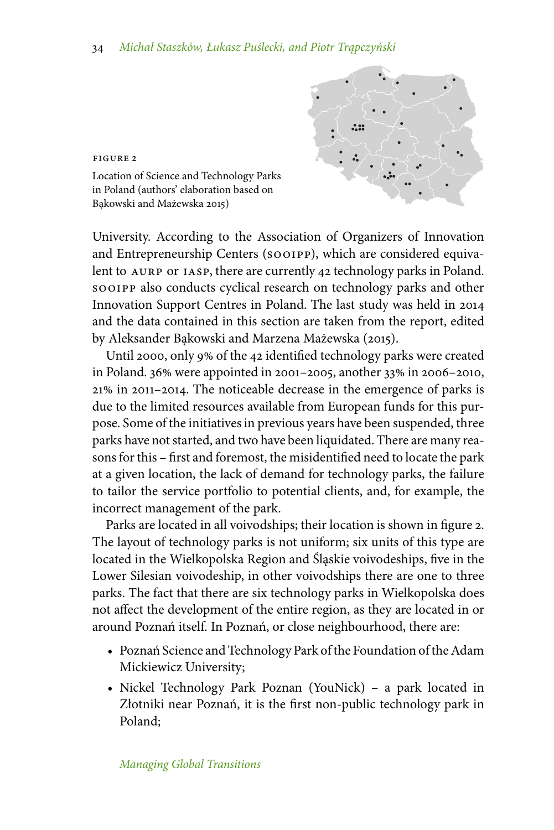

Location of Science and Technology Parks in Poland (authors' elaboration based on Bakowski and Mażewska 2015)

figure 2

University. According to the Association of Organizers of Innovation and Entrepreneurship Centers (sooipp), which are considered equivalent to AURP or IASP, there are currently 42 technology parks in Poland. sooipp also conducts cyclical research on technology parks and other Innovation Support Centres in Poland. The last study was held in 2014 and the data contained in this section are taken from the report, edited by Aleksander Bąkowski and Marzena Mażewska (2015).

Until 2000, only 9% of the 42 identified technology parks were created in Poland. 36% were appointed in 2001–2005, another 33% in 2006–2010, 21% in 2011–2014. The noticeable decrease in the emergence of parks is due to the limited resources available from European funds for this purpose. Some of the initiatives in previous years have been suspended, three parks have not started, and two have been liquidated. There are many reasons for this – first and foremost, the misidentified need to locate the park at a given location, the lack of demand for technology parks, the failure to tailor the service portfolio to potential clients, and, for example, the incorrect management of the park.

Parks are located in all voivodships; their location is shown in figure 2. The layout of technology parks is not uniform; six units of this type are located in the Wielkopolska Region and Śląskie voivodeships, five in the Lower Silesian voivodeship, in other voivodships there are one to three parks. The fact that there are six technology parks in Wielkopolska does not affect the development of the entire region, as they are located in or around Poznań itself. In Poznań, or close neighbourhood, there are:

- Poznań Science and Technology Park of the Foundation of the Adam Mickiewicz University;
- Nickel Technology Park Poznan (YouNick) a park located in Złotniki near Poznań, it is the first non-public technology park in Poland;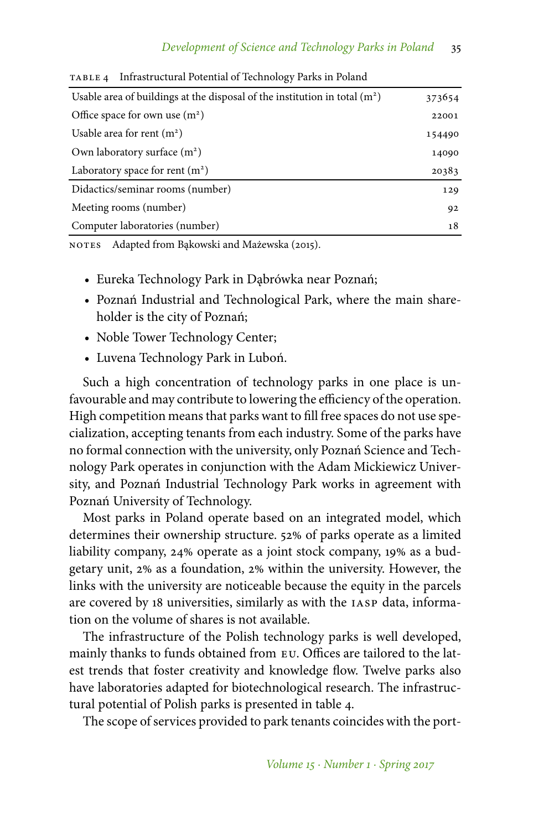| Usable area of buildings at the disposal of the institution in total $(m2)$ |        |
|-----------------------------------------------------------------------------|--------|
| Office space for own use $(m2)$                                             | 22001  |
| Usable area for rent $(m2)$                                                 | 154490 |
| Own laboratory surface $(m2)$                                               | 14090  |
| Laboratory space for rent $(m2)$                                            | 20383  |
| Didactics/seminar rooms (number)                                            | 129    |
| Meeting rooms (number)                                                      | 92     |
| Computer laboratories (number)                                              | 18     |

table 4 Infrastructural Potential of Technology Parks in Poland

NOTES Adapted from Bakowski and Mażewska (2015).

- Eureka Technology Park in Dąbrówka near Poznań;
- Poznań Industrial and Technological Park, where the main shareholder is the city of Poznań;
- Noble Tower Technology Center;
- Luvena Technology Park in Luboń.

Such a high concentration of technology parks in one place is unfavourable and may contribute to lowering the efficiency of the operation. High competition means that parks want to fill free spaces do not use specialization, accepting tenants from each industry. Some of the parks have no formal connection with the university, only Poznań Science and Technology Park operates in conjunction with the Adam Mickiewicz University, and Poznań Industrial Technology Park works in agreement with Poznań University of Technology.

Most parks in Poland operate based on an integrated model, which determines their ownership structure. 52% of parks operate as a limited liability company, 24% operate as a joint stock company, 19% as a budgetary unit, 2% as a foundation, 2% within the university. However, the links with the university are noticeable because the equity in the parcels are covered by 18 universities, similarly as with the iasp data, information on the volume of shares is not available.

The infrastructure of the Polish technology parks is well developed, mainly thanks to funds obtained from eu. Offices are tailored to the latest trends that foster creativity and knowledge flow. Twelve parks also have laboratories adapted for biotechnological research. The infrastructural potential of Polish parks is presented in table 4.

The scope of services provided to park tenants coincides with the port-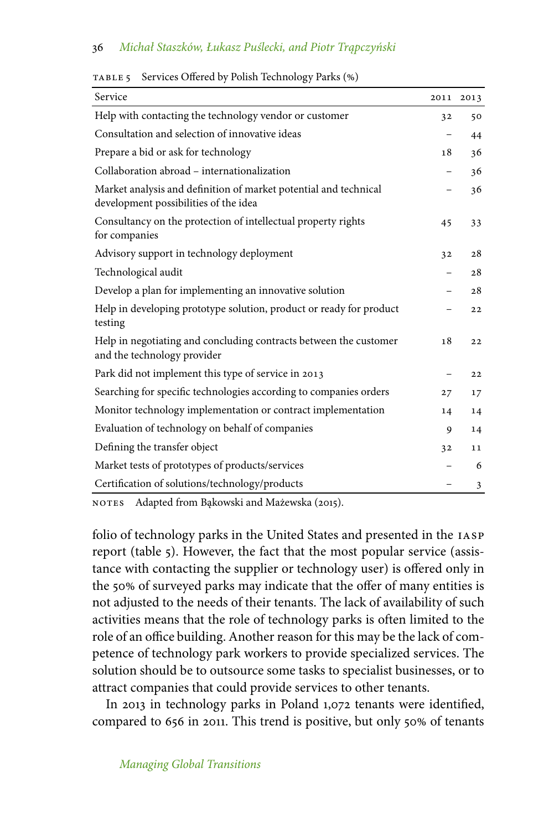#### 36 Michał Staszków, Łukasz Puślecki, and Piotr Trąpczyński

| Service                                                                                                   | 2011 | 2013 |
|-----------------------------------------------------------------------------------------------------------|------|------|
| Help with contacting the technology vendor or customer                                                    | 32   | 50   |
| Consultation and selection of innovative ideas                                                            |      | 44   |
| Prepare a bid or ask for technology                                                                       | 18   | 36   |
| Collaboration abroad – internationalization                                                               |      | 36   |
| Market analysis and definition of market potential and technical<br>development possibilities of the idea |      | 36   |
| Consultancy on the protection of intellectual property rights<br>for companies                            | 45   | 33   |
| Advisory support in technology deployment                                                                 | 32   | 28   |
| Technological audit                                                                                       |      | 28   |
| Develop a plan for implementing an innovative solution                                                    |      | 28   |
| Help in developing prototype solution, product or ready for product<br>testing                            |      | 22   |
| Help in negotiating and concluding contracts between the customer<br>and the technology provider          | 18   | 22   |
| Park did not implement this type of service in 2013                                                       |      | 22   |
| Searching for specific technologies according to companies orders                                         | 27   | 17   |
| Monitor technology implementation or contract implementation                                              |      | 14   |
| Evaluation of technology on behalf of companies                                                           |      | 14   |
| Defining the transfer object                                                                              | 32   | 11   |
| Market tests of prototypes of products/services                                                           |      | 6    |
| Certification of solutions/technology/products                                                            |      | 3    |

TABLE 5 Services Offered by Polish Technology Parks (%)

NOTES Adapted from Bąkowski and Mażewska (2015).

folio of technology parks in the United States and presented in the iasp report (table 5). However, the fact that the most popular service (assistance with contacting the supplier or technology user) is offered only in the 50% of surveyed parks may indicate that the offer of many entities is not adjusted to the needs of their tenants. The lack of availability of such activities means that the role of technology parks is often limited to the role of an office building. Another reason for this may be the lack of competence of technology park workers to provide specialized services. The solution should be to outsource some tasks to specialist businesses, or to attract companies that could provide services to other tenants.

In 2013 in technology parks in Poland 1,072 tenants were identified, compared to 656 in 2011. This trend is positive, but only 50% of tenants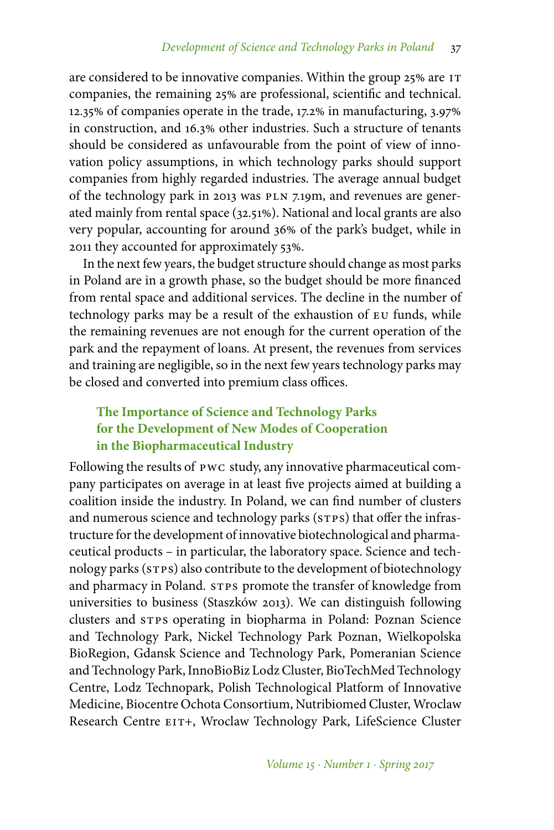are considered to be innovative companies. Within the group 25% are IT companies, the remaining 25% are professional, scientific and technical. 12.35% of companies operate in the trade, 17.2% in manufacturing, 3.97% in construction, and 16.3% other industries. Such a structure of tenants should be considered as unfavourable from the point of view of innovation policy assumptions, in which technology parks should support companies from highly regarded industries. The average annual budget of the technology park in 2013 was PLN 7.19m, and revenues are generated mainly from rental space (32.51%). National and local grants are also very popular, accounting for around 36% of the park's budget, while in 2011 they accounted for approximately 53%.

In the next few years, the budget structure should change as most parks in Poland are in a growth phase, so the budget should be more financed from rental space and additional services. The decline in the number of technology parks may be a result of the exhaustion of eu funds, while the remaining revenues are not enough for the current operation of the park and the repayment of loans. At present, the revenues from services and training are negligible, so in the next few years technology parks may be closed and converted into premium class offices.

# **The Importance of Science and Technology Parks for the Development of New Modes of Cooperation in the Biopharmaceutical Industry**

Following the results of pwc study, any innovative pharmaceutical company participates on average in at least five projects aimed at building a coalition inside the industry. In Poland, we can find number of clusters and numerous science and technology parks (STPS) that offer the infrastructure for the development of innovative biotechnological and pharmaceutical products – in particular, the laboratory space. Science and technology parks (STPS) also contribute to the development of biotechnology and pharmacy in Poland. STPS promote the transfer of knowledge from universities to business (Staszków 2013). We can distinguish following clusters and STPS operating in biopharma in Poland: Poznan Science and Technology Park, Nickel Technology Park Poznan, Wielkopolska BioRegion, Gdansk Science and Technology Park, Pomeranian Science and Technology Park, InnoBioBiz Lodz Cluster, BioTechMed Technology Centre, Lodz Technopark, Polish Technological Platform of Innovative Medicine, Biocentre Ochota Consortium, Nutribiomed Cluster, Wroclaw Research Centre EIT+, Wroclaw Technology Park, LifeScience Cluster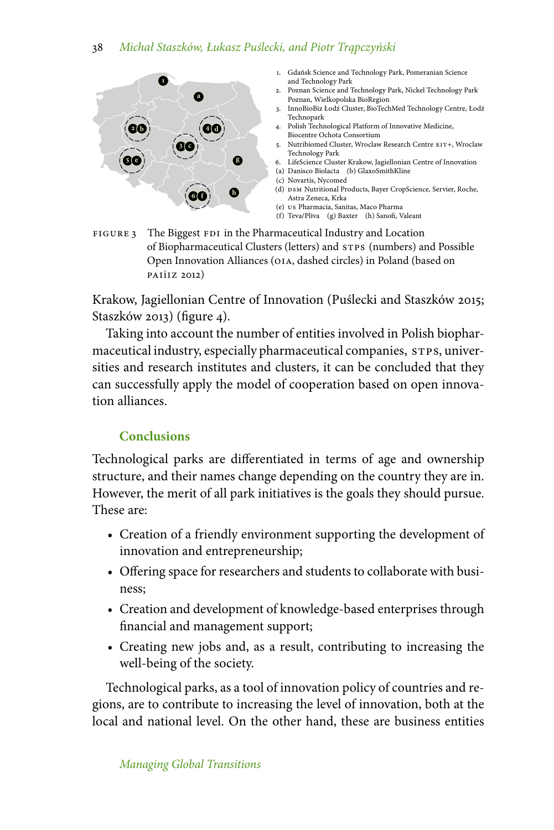

- 1. Gdańsk Science and Technology Park, Pomeranian Science and Technology Park
- 2. Poznan Science and Technology Park, Nickel Technology Park Poznan, Wielkopolska BioRegion
- 3. InnoBioBiz Łodź Cluster, BioTechMed Technology Centre, Łodź Technopark
- 4. Polish Technological Platform of Innovative Medicine, Biocentre Ochota Consortium
- 5. Nutribiomed Cluster, Wroclaw Research Centre eit+, Wroclaw Technology Park
- 6. LifeScience Cluster Krakow, Jagiellonian Centre of Innovation
- (a) Danisco Biolacta (b) GlaxoSmithKline
- (c) Novartis, Nycomed
- (d) DSM Nutritional Products, Bayer CropScience, Servier, Roche, Astra Zeneca, Krka
- (e) us Pharmacia, Sanitas, Maco Pharma
- (f) Teva/Pliva (g) Baxter (h) Sanofi, Valeant

FIGURE 3 The Biggest FDI in the Pharmaceutical Industry and Location of Biopharmaceutical Clusters (letters) and stps (numbers) and Possible Open Innovation Alliances (oia, dashed circles) in Poland (based on paiiiz 2012)

Krakow, Jagiellonian Centre of Innovation (Puślecki and Staszków 2015; Staszków 2013) (figure 4).

Taking into account the number of entities involved in Polish biopharmaceutical industry, especially pharmaceutical companies, STPS, universities and research institutes and clusters, it can be concluded that they can successfully apply the model of cooperation based on open innovation alliances.

# **Conclusions**

Technological parks are differentiated in terms of age and ownership structure, and their names change depending on the country they are in. However, the merit of all park initiatives is the goals they should pursue. These are:

- Creation of a friendly environment supporting the development of innovation and entrepreneurship;
- Offering space for researchers and students to collaborate with business;
- Creation and development of knowledge-based enterprises through financial and management support;
- Creating new jobs and, as a result, contributing to increasing the well-being of the society.

Technological parks, as a tool of innovation policy of countries and regions, are to contribute to increasing the level of innovation, both at the local and national level. On the other hand, these are business entities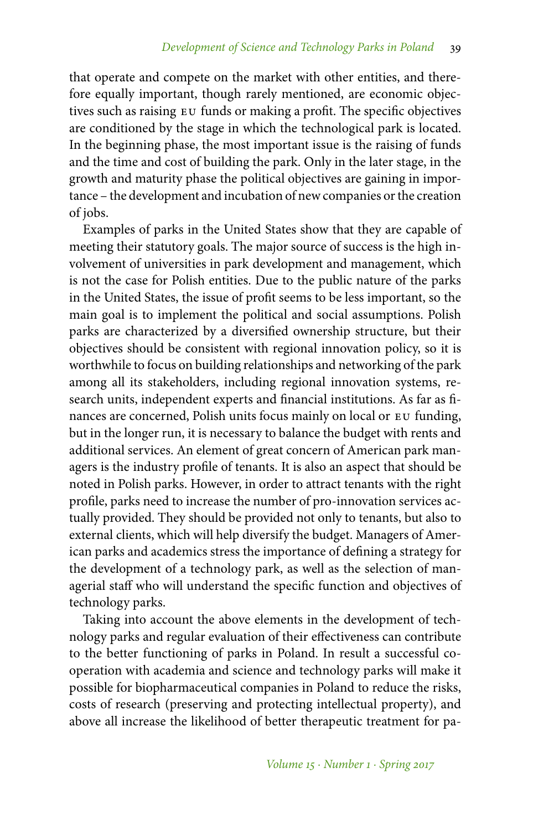that operate and compete on the market with other entities, and therefore equally important, though rarely mentioned, are economic objectives such as raising eu funds or making a profit. The specific objectives are conditioned by the stage in which the technological park is located. In the beginning phase, the most important issue is the raising of funds and the time and cost of building the park. Only in the later stage, in the growth and maturity phase the political objectives are gaining in importance – the development and incubation of new companies or the creation of jobs.

Examples of parks in the United States show that they are capable of meeting their statutory goals. The major source of success is the high involvement of universities in park development and management, which is not the case for Polish entities. Due to the public nature of the parks in the United States, the issue of profit seems to be less important, so the main goal is to implement the political and social assumptions. Polish parks are characterized by a diversified ownership structure, but their objectives should be consistent with regional innovation policy, so it is worthwhile to focus on building relationships and networking of the park among all its stakeholders, including regional innovation systems, research units, independent experts and financial institutions. As far as finances are concerned, Polish units focus mainly on local or EU funding, but in the longer run, it is necessary to balance the budget with rents and additional services. An element of great concern of American park managers is the industry profile of tenants. It is also an aspect that should be noted in Polish parks. However, in order to attract tenants with the right profile, parks need to increase the number of pro-innovation services actually provided. They should be provided not only to tenants, but also to external clients, which will help diversify the budget. Managers of American parks and academics stress the importance of defining a strategy for the development of a technology park, as well as the selection of managerial staff who will understand the specific function and objectives of technology parks.

Taking into account the above elements in the development of technology parks and regular evaluation of their effectiveness can contribute to the better functioning of parks in Poland. In result a successful cooperation with academia and science and technology parks will make it possible for biopharmaceutical companies in Poland to reduce the risks, costs of research (preserving and protecting intellectual property), and above all increase the likelihood of better therapeutic treatment for pa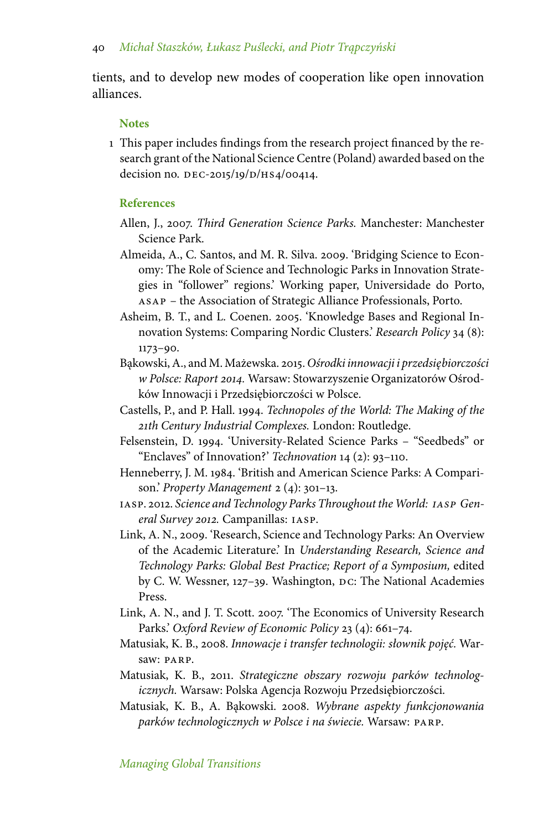tients, and to develop new modes of cooperation like open innovation alliances.

#### **Notes**

1 This paper includes findings from the research project financed by the research grant of the National Science Centre (Poland) awarded based on the decision no. DEC-2015/19/D/HS4/00414.

#### **References**

- Allen, J., 2007. *Third Generation Science Parks.* Manchester: Manchester Science Park.
- Almeida, A., C. Santos, and M. R. Silva. 2009. 'Bridging Science to Economy: The Role of Science and Technologic Parks in Innovation Strategies in "follower" regions.' Working paper, Universidade do Porto, asap – the Association of Strategic Alliance Professionals, Porto.
- Asheim, B. T., and L. Coenen. 2005. 'Knowledge Bases and Regional Innovation Systems: Comparing Nordic Clusters.' *Research Policy* 34 (8): 1173–90.
- B˛akowski, A., and M. Mażewska. 2015. *Ośrodki innowacji i przedsi˛ebiorczości w Polsce: Raport 2014.* Warsaw: Stowarzyszenie Organizatorów Ośrodków Innowacji i Przedsiębiorczości w Polsce.
- Castells, P., and P. Hall. 1994. *Technopoles of the World: The Making of the 21th Century Industrial Complexes.* London: Routledge.
- Felsenstein, D. 1994. 'University-Related Science Parks "Seedbeds" or "Enclaves" of Innovation?' *Technovation* 14 (2): 93–110.
- Henneberry, J. M. 1984. 'British and American Science Parks: A Comparison.' *Property Management* 2 (4): 301–13.
- iasp. 2012. *Science and Technology Parks Throughout the World: iasp General Survey 2012.* Campanillas: iasp.
- Link, A. N., 2009. 'Research, Science and Technology Parks: An Overview of the Academic Literature.' In *Understanding Research, Science and Technology Parks: Global Best Practice; Report of a Symposium,* edited by C. W. Wessner, 127–39. Washington, DC: The National Academies Press.
- Link, A. N., and J. T. Scott. 2007. 'The Economics of University Research Parks.' *Oxford Review of Economic Policy* 23 (4): 661–74.
- Matusiak, K. B., 2008. *Innowacje i transfer technologii: słownik poj˛eć.* Warsaw: PARP.
- Matusiak, K. B., 2011. *Strategiczne obszary rozwoju parków technologicznych.* Warsaw: Polska Agencja Rozwoju Przedsi˛ebiorczości.
- Matusiak, K. B., A. B˛akowski. 2008. *Wybrane aspekty funkcjonowania parków technologicznych w Polsce i na świecie.* Warsaw: parp.